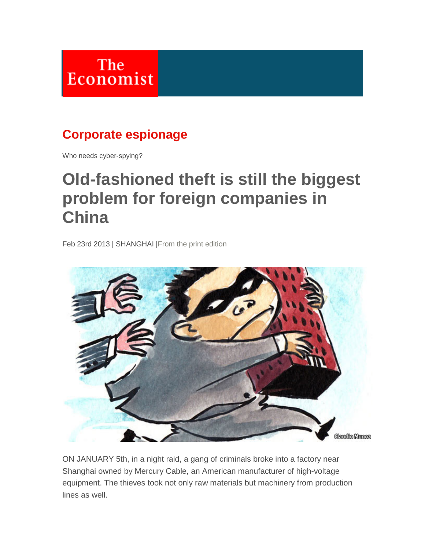

## **Corporate espionage**

Who needs cyber-spying?

## **Old-fashioned theft is still the biggest problem for foreign companies in China**

Feb 23rd 2013 | SHANGHAI [|From the print edition](http://www.economist.com/printedition/2013-02-21)



ON JANUARY 5th, in a night raid, a gang of criminals broke into a factory near Shanghai owned by Mercury Cable, an American manufacturer of high-voltage equipment. The thieves took not only raw materials but machinery from production lines as well.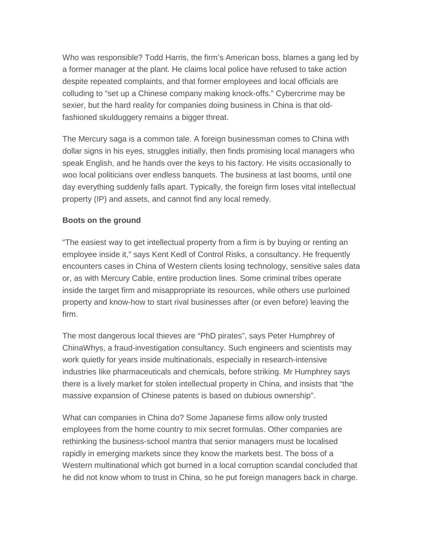Who was responsible? Todd Harris, the firm's American boss, blames a gang led by a former manager at the plant. He claims local police have refused to take action despite repeated complaints, and that former employees and local officials are colluding to "set up a Chinese company making knock-offs." Cybercrime may be sexier, but the hard reality for companies doing business in China is that oldfashioned skulduggery remains a bigger threat.

The Mercury saga is a common tale. A foreign businessman comes to China with dollar signs in his eyes, struggles initially, then finds promising local managers who speak English, and he hands over the keys to his factory. He visits occasionally to woo local politicians over endless banquets. The business at last booms, until one day everything suddenly falls apart. Typically, the foreign firm loses vital intellectual property (IP) and assets, and cannot find any local remedy.

## **Boots on the ground**

"The easiest way to get intellectual property from a firm is by buying or renting an employee inside it," says Kent Kedl of Control Risks, a consultancy. He frequently encounters cases in China of Western clients losing technology, sensitive sales data or, as with Mercury Cable, entire production lines. Some criminal tribes operate inside the target firm and misappropriate its resources, while others use purloined property and know-how to start rival businesses after (or even before) leaving the firm.

The most dangerous local thieves are "PhD pirates", says Peter Humphrey of ChinaWhys, a fraud-investigation consultancy. Such engineers and scientists may work quietly for years inside multinationals, especially in research-intensive industries like pharmaceuticals and chemicals, before striking. Mr Humphrey says there is a lively market for stolen intellectual property in China, and insists that "the massive expansion of Chinese patents is based on dubious ownership".

What can companies in China do? Some Japanese firms allow only trusted employees from the home country to mix secret formulas. Other companies are rethinking the business-school mantra that senior managers must be localised rapidly in emerging markets since they know the markets best. The boss of a Western multinational which got burned in a local corruption scandal concluded that he did not know whom to trust in China, so he put foreign managers back in charge.